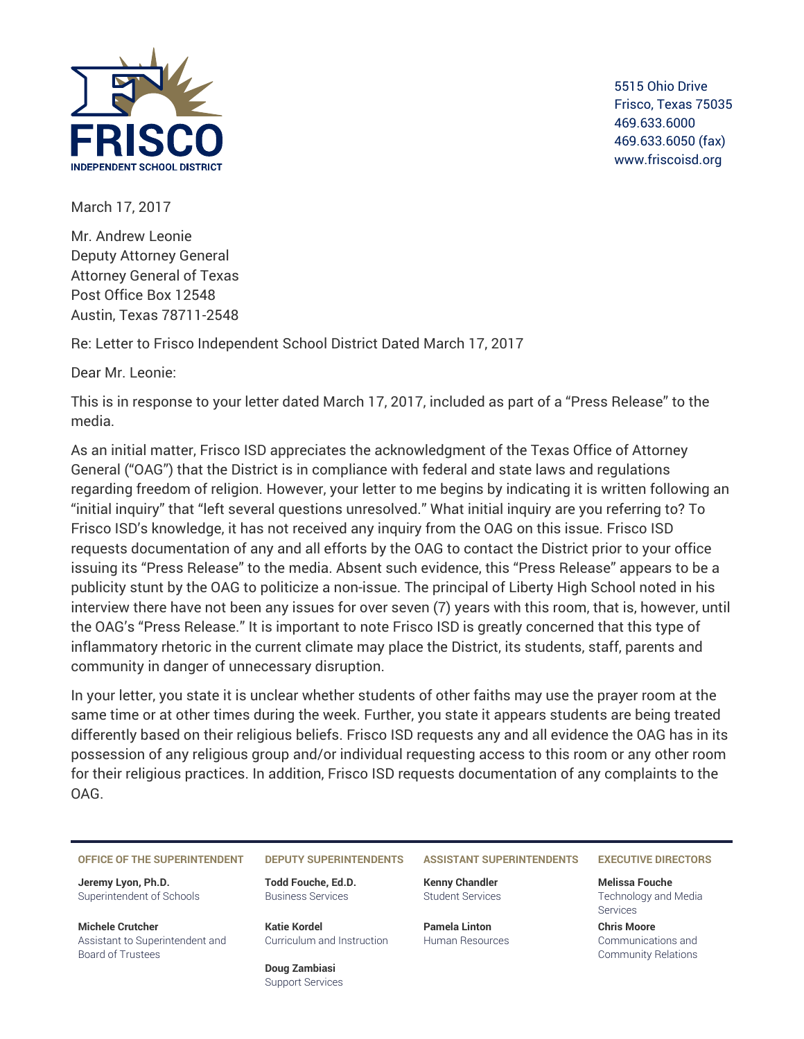

5515 Ohio Drive Frisco, Texas 75035 469.633.6000 469.633.6050 (fax) www.friscoisd.org

March 17, 2017

Mr. Andrew Leonie Deputy Attorney General Attorney General of Texas Post Office Box 12548 Austin, Texas 78711-2548

Re: Letter to Frisco Independent School District Dated March 17, 2017

Dear Mr. Leonie:

This is in response to your letter dated March 17, 2017, included as part of a "Press Release" to the media.

As an initial matter, Frisco ISD appreciates the acknowledgment of the Texas Office of Attorney General ("OAG") that the District is in compliance with federal and state laws and regulations regarding freedom of religion. However, your letter to me begins by indicating it is written following an "initial inquiry" that "left several questions unresolved." What initial inquiry are you referring to? To Frisco ISD's knowledge, it has not received any inquiry from the OAG on this issue. Frisco ISD requests documentation of any and all efforts by the OAG to contact the District prior to your office issuing its "Press Release" to the media. Absent such evidence, this "Press Release" appears to be a publicity stunt by the OAG to politicize a non-issue. The principal of Liberty High School noted in his interview there have not been any issues for over seven (7) years with this room, that is, however, until the OAG's "Press Release." It is important to note Frisco ISD is greatly concerned that this type of inflammatory rhetoric in the current climate may place the District, its students, staff, parents and community in danger of unnecessary disruption.

In your letter, you state it is unclear whether students of other faiths may use the prayer room at the same time or at other times during the week. Further, you state it appears students are being treated differently based on their religious beliefs. Frisco ISD requests any and all evidence the OAG has in its possession of any religious group and/or individual requesting access to this room or any other room for their religious practices. In addition, Frisco ISD requests documentation of any complaints to the OAG.

## **OFFICE OF THE SUPERINTENDENT DEPUTY SUPERINTENDENTS ASSISTANT SUPERINTENDENTS EXECUTIVE DIRECTORS**

**Jeremy Lyon, Ph.D.** Superintendent of Schools

**Michele Crutcher** Assistant to Superintendent and Board of Trustees

**Todd Fouche, Ed.D.** Business Services

**Katie Kordel** Curriculum and Instruction

**Doug Zambiasi** Support Services

**Kenny Chandler** Student Services

**Pamela Linton** Human Resources

**Melissa Fouche** Technology and Media Services

**Chris Moore** Communications and Community Relations